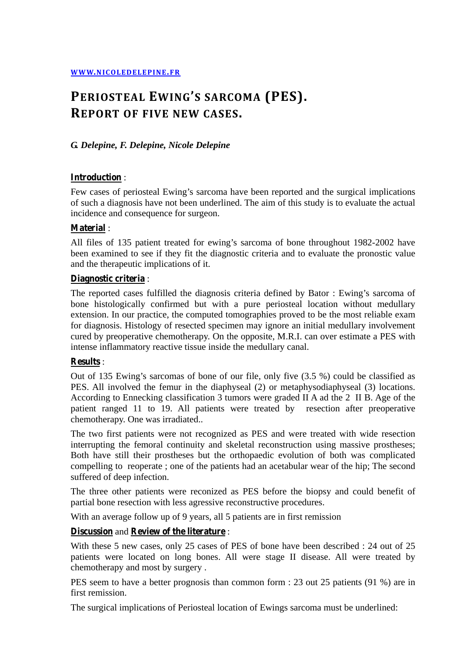# **PERIOSTEAL EWING'S SARCOMA (PES). REPORT OF FIVE NEW CASES.**

## *G. Delepine, F. Delepine, Nicole Delepine*

## **Introduction** :

Few cases of periosteal Ewing's sarcoma have been reported and the surgical implications of such a diagnosis have not been underlined. The aim of this study is to evaluate the actual incidence and consequence for surgeon.

## **Material** :

All files of 135 patient treated for ewing's sarcoma of bone throughout 1982-2002 have been examined to see if they fit the diagnostic criteria and to evaluate the pronostic value and the therapeutic implications of it.

### **Diagnostic criteria** :

The reported cases fulfilled the diagnosis criteria defined by Bator : Ewing's sarcoma of bone histologically confirmed but with a pure periosteal location without medullary extension. In our practice, the computed tomographies proved to be the most reliable exam for diagnosis. Histology of resected specimen may ignore an initial medullary involvement cured by preoperative chemotherapy. On the opposite, M.R.I. can over estimate a PES with intense inflammatory reactive tissue inside the medullary canal.

## **Results** :

Out of 135 Ewing's sarcomas of bone of our file, only five (3.5 %) could be classified as PES. All involved the femur in the diaphyseal (2) or metaphysodiaphyseal (3) locations. According to Ennecking classification 3 tumors were graded II A ad the 2 II B. Age of the patient ranged 11 to 19. All patients were treated by resection after preoperative chemotherapy. One was irradiated..

The two first patients were not recognized as PES and were treated with wide resection interrupting the femoral continuity and skeletal reconstruction using massive prostheses; Both have still their prostheses but the orthopaedic evolution of both was complicated compelling to reoperate ; one of the patients had an acetabular wear of the hip; The second suffered of deep infection.

The three other patients were reconized as PES before the biopsy and could benefit of partial bone resection with less agressive reconstructive procedures.

With an average follow up of 9 years, all 5 patients are in first remission

## **Discussion** and **Review of the literature** :

With these 5 new cases, only 25 cases of PES of bone have been described : 24 out of 25 patients were located on long bones. All were stage II disease. All were treated by chemotherapy and most by surgery .

PES seem to have a better prognosis than common form : 23 out 25 patients (91 %) are in first remission.

The surgical implications of Periosteal location of Ewings sarcoma must be underlined: